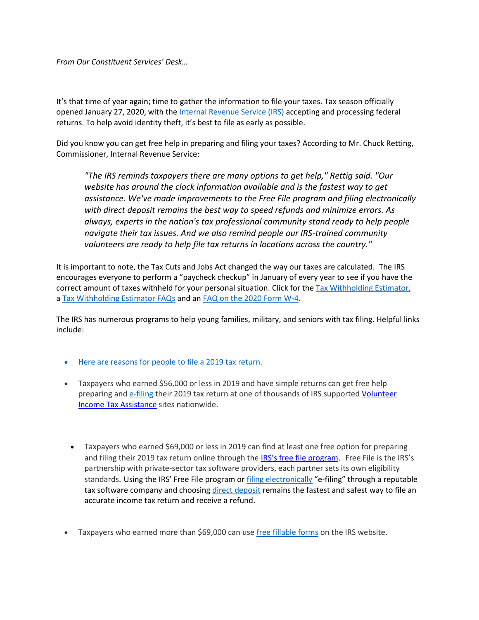*From Our Constituent Services' Desk…*

It's that time of year again; time to gather the information to file your taxes. Tax season officially opened January 27, 2020, with the [Internal Revenue Service \(IRS\)](http://www.irs.gov/) accepting and processing federal returns. To help avoid identity theft, it's best to file as early as possible.

Did you know you can get free help in preparing and filing your taxes? According to Mr. Chuck Retting, Commissioner, Internal Revenue Service:

*"The IRS reminds taxpayers there are many options to get help," Rettig said. "Our website has around the clock information available and is the fastest way to get assistance. We've made improvements to the Free File program and filing electronically with direct deposit remains the best way to speed refunds and minimize errors. As always, experts in the nation's tax professional community stand ready to help people navigate their tax issues. And we also remind people our IRS-trained community volunteers are ready to help file tax returns in locations across the country."*

It is important to note, the Tax Cuts and Jobs Act changed the way our taxes are calculated. The IRS encourages everyone to perform a "paycheck checkup" in January of every year to see if you have the correct amount of taxes withheld for your personal situation. Click for the [Tax Withholding Estimator,](https://www.irs.gov/payments/tax-withholding) a [Tax Withholding Estimator FAQs](https://www.irs.gov/individuals/tax-withholding-estimator-faqs) and an [FAQ on the 2020 Form W-4.](https://www.irs.gov/newsroom/faqs-on-the-2020-form-w-4)

The IRS has numerous programs to help young families, military, and seniors with tax filing. Helpful links include:

- [Here are reasons for people to file a 2019 tax return.](https://www.irs.gov/newsroom/here-are-reasons-for-people-to-file-a-2019-tax-return)
- Taxpayers who earned \$56,000 or less in 2019 and have simple returns can get free help preparing and [e-filing](https://www.irs.gov/filing/free-file-do-your-federal-taxes-for-free) their 2019 tax return at one of thousands of IRS supported Volunteer [Income Tax Assistance](https://www.irs.gov/individuals/free-tax-return-preparation-for-you-by-volunteers) sites nationwide.
	- Taxpayers who earned \$69,000 or less in 2019 can find at least one free option for preparing and filing their 2019 tax return online through the [IRS's free file program](https://www.irs.gov/filing/free-file-do-your-federal-taxes-for-free). Free File is the IRS's partnership with private-sector tax software providers, each partner sets its own eligibility standards. Using the IRS' Free File program or [filing electronically](https://www.irs.gov/filing/e-file-options) "e-filing" through a reputable tax software company and choosing [direct deposit](https://www.irs.gov/refunds/get-your-refund-faster-tell-irs-to-direct-deposit-your-refund-to-one-two-or-three-accounts) remains the fastest and safest way to file an accurate income tax return and receive a refund.
- Taxpayers who earned more than \$69,000 can use [free fillable forms](https://www.irs.gov/e-file-providers/before-starting-free-file-fillable-forms) on the IRS website.